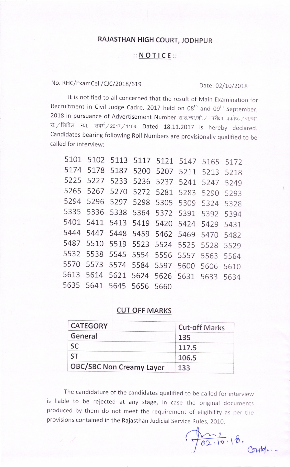# RAJASTHAN HIGH COURT, JODHPUR

### :: N O T I C E ::

## No. RHC/ExamCell/CJC/2018/619 Date: 02/10/2018

It is notified to all concerned that the result of Main Examination for Recruitment in Civil Judge Cadre, 2017 held on 08<sup>th</sup> and 09<sup>th</sup> September, 2018 in pursuance of Advertisement Number रा.उ.न्या.जो. / परीक्षा प्रकोष्ठ / रा.न्या. से. / सिविल न्या. संवर्ग / 2017 / 1104 Dated 18.11.2017 is hereby declared. Candidates bearing following Roll Numbers are provisionally qualified to be called for interview:

|      | 5101 5102 5113 5117 5121 5147 5165 5172 |  |  |           |
|------|-----------------------------------------|--|--|-----------|
|      | 5174 5178 5187 5200 5207 5211 5213 5218 |  |  |           |
|      | 5225 5227 5233 5236 5237 5241           |  |  | 5247 5249 |
|      | 5265 5267 5270 5272 5281 5283 5290 5293 |  |  |           |
| 5294 | 5296 5297 5298 5305 5309 5324 5328      |  |  |           |
|      | 5335 5336 5338 5364 5372 5391 5392 5394 |  |  |           |
|      | 5401 5411 5413 5419 5420 5424 5429 5431 |  |  |           |
|      | 5444 5447 5448 5459 5462 5469 5470 5482 |  |  |           |
|      | 5487 5510 5519 5523 5524 5525 5528 5529 |  |  |           |
|      | 5532 5538 5545 5554 5556 5557 5563 5564 |  |  |           |
|      | 5570 5573 5574 5584 5597 5600 5606 5610 |  |  |           |
|      | 5613 5614 5621 5624 5626 5631 5633 5634 |  |  |           |
|      | 5635 5641 5645 5656 5660                |  |  |           |
|      |                                         |  |  |           |

## **CUT OFF MARKS**

| <b>CATEGORY</b>                 | <b>Cut-off Marks</b> |  |  |
|---------------------------------|----------------------|--|--|
| General                         | 135                  |  |  |
| SC                              | 117.5                |  |  |
|                                 | 106.5                |  |  |
| <b>OBC/SBC Non Creamy Layer</b> | 133                  |  |  |

The candidature of the candidates qualified to be called for interview is liable to be rejected at any stage, in case the original documents produced by them do not meet the requirement of eligibility as per the provisions contained in the Rajasthan Judicial Service Rules, 2010.

 $\frac{1}{02.10.18}$ Conte